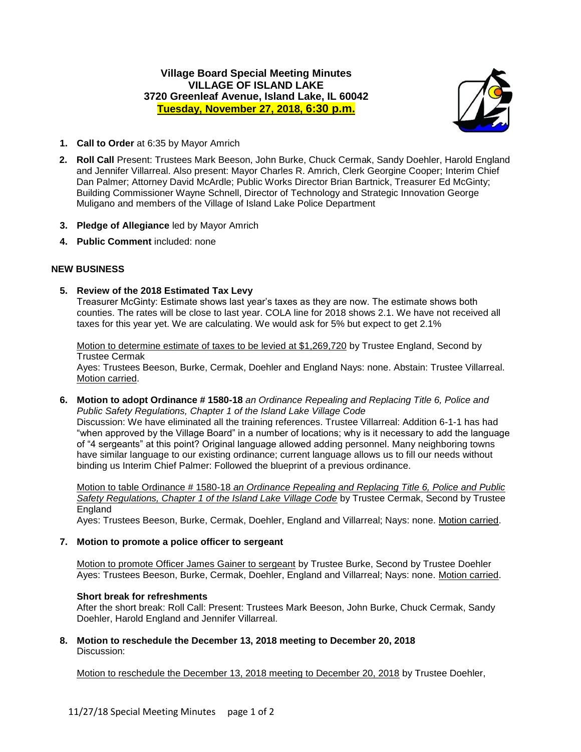# **Village Board Special Meeting Minutes VILLAGE OF ISLAND LAKE 3720 Greenleaf Avenue, Island Lake, IL 60042 Tuesday, November 27, 2018, 6:30 p.m.**



- **1. Call to Order** at 6:35 by Mayor Amrich
- **2. Roll Call** Present: Trustees Mark Beeson, John Burke, Chuck Cermak, Sandy Doehler, Harold England and Jennifer Villarreal. Also present: Mayor Charles R. Amrich, Clerk Georgine Cooper; Interim Chief Dan Palmer; Attorney David McArdle; Public Works Director Brian Bartnick, Treasurer Ed McGinty; Building Commissioner Wayne Schnell, Director of Technology and Strategic Innovation George Muligano and members of the Village of Island Lake Police Department
- **3. Pledge of Allegiance** led by Mayor Amrich
- **4. Public Comment** included: none

## **NEW BUSINESS**

**5. Review of the 2018 Estimated Tax Levy**

Treasurer McGinty: Estimate shows last year's taxes as they are now. The estimate shows both counties. The rates will be close to last year. COLA line for 2018 shows 2.1. We have not received all taxes for this year yet. We are calculating. We would ask for 5% but expect to get 2.1%

Motion to determine estimate of taxes to be levied at \$1,269,720 by Trustee England, Second by Trustee Cermak

Ayes: Trustees Beeson, Burke, Cermak, Doehler and England Nays: none. Abstain: Trustee Villarreal. Motion carried.

**6. Motion to adopt Ordinance # 1580-18** *an Ordinance Repealing and Replacing Title 6, Police and Public Safety Regulations, Chapter 1 of the Island Lake Village Code* Discussion: We have eliminated all the training references. Trustee Villarreal: Addition 6-1-1 has had "when approved by the Village Board" in a number of locations; why is it necessary to add the language of "4 sergeants" at this point? Original language allowed adding personnel. Many neighboring towns have similar language to our existing ordinance; current language allows us to fill our needs without binding us Interim Chief Palmer: Followed the blueprint of a previous ordinance.

Motion to table Ordinance # 1580-18 *an Ordinance Repealing and Replacing Title 6, Police and Public Safety Regulations, Chapter 1 of the Island Lake Village Code* by Trustee Cermak, Second by Trustee **England** 

Ayes: Trustees Beeson, Burke, Cermak, Doehler, England and Villarreal; Nays: none. Motion carried.

### **7. Motion to promote a police officer to sergeant**

Motion to promote Officer James Gainer to sergeant by Trustee Burke, Second by Trustee Doehler Ayes: Trustees Beeson, Burke, Cermak, Doehler, England and Villarreal; Nays: none. Motion carried.

### **Short break for refreshments**

After the short break: Roll Call: Present: Trustees Mark Beeson, John Burke, Chuck Cermak, Sandy Doehler, Harold England and Jennifer Villarreal.

**8. Motion to reschedule the December 13, 2018 meeting to December 20, 2018** Discussion:

Motion to reschedule the December 13, 2018 meeting to December 20, 2018 by Trustee Doehler,